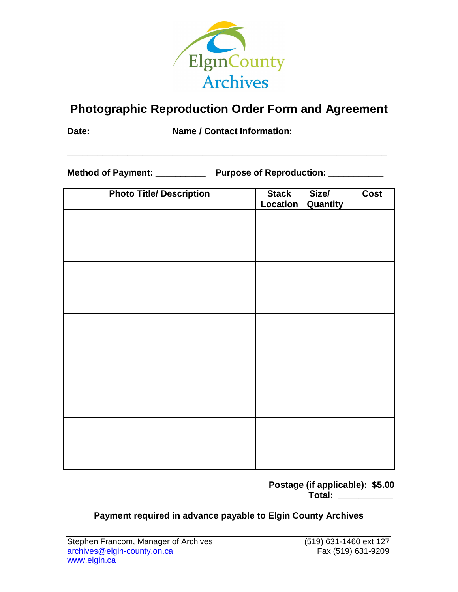

## **Photographic Reproduction Order Form and Agreement**

**\_\_\_\_\_\_\_\_\_\_\_\_\_\_\_\_\_\_\_\_\_\_\_\_\_\_\_\_\_\_\_\_\_\_\_\_\_\_\_\_\_\_\_\_\_\_\_\_\_\_\_\_\_\_\_\_\_\_\_\_\_\_\_\_**

Date: \_\_\_\_\_\_\_\_\_\_\_\_\_\_\_\_ Name / Contact Information: \_\_\_\_\_\_\_\_\_\_\_\_\_\_\_\_\_\_\_\_\_\_\_\_\_\_\_\_\_\_

**Method of Payment: \_\_\_\_\_\_\_\_\_\_ Purpose of Reproduction: \_\_\_\_\_\_\_\_\_\_\_**

| <b>Photo Title/ Description</b> | <b>Stack</b><br>Location | Size/<br>Quantity | Cost |
|---------------------------------|--------------------------|-------------------|------|
|                                 |                          |                   |      |
|                                 |                          |                   |      |
|                                 |                          |                   |      |
|                                 |                          |                   |      |
|                                 |                          |                   |      |
|                                 |                          |                   |      |
|                                 |                          |                   |      |
|                                 |                          |                   |      |
|                                 |                          |                   |      |
|                                 |                          |                   |      |
|                                 |                          |                   |      |

## **Postage (if applicable): \$5.00 Total: \_\_\_\_\_\_\_\_\_\_\_**

## **Payment required in advance payable to Elgin County Archives**